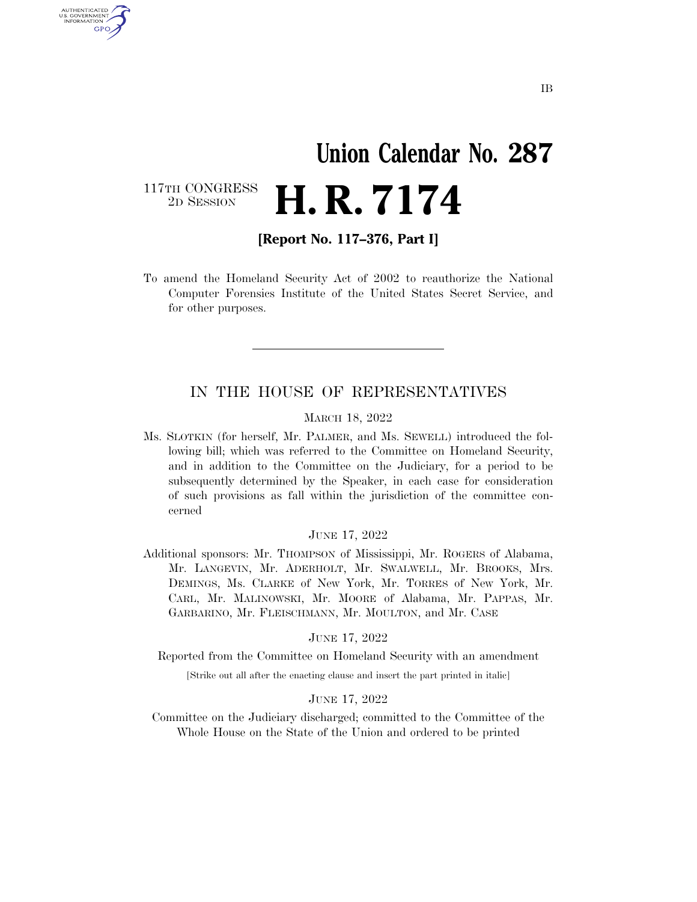# **Union Calendar No. 287**  2D SESSION **H. R. 7174**

117TH CONGRESS<br>2D SESSION

U.S. GOVERNMENT GPO

**[Report No. 117–376, Part I]** 

To amend the Homeland Security Act of 2002 to reauthorize the National Computer Forensics Institute of the United States Secret Service, and for other purposes.

### IN THE HOUSE OF REPRESENTATIVES

#### MARCH 18, 2022

Ms. SLOTKIN (for herself, Mr. PALMER, and Ms. SEWELL) introduced the following bill; which was referred to the Committee on Homeland Security, and in addition to the Committee on the Judiciary, for a period to be subsequently determined by the Speaker, in each case for consideration of such provisions as fall within the jurisdiction of the committee concerned

#### JUNE 17, 2022

Additional sponsors: Mr. THOMPSON of Mississippi, Mr. ROGERS of Alabama, Mr. LANGEVIN, Mr. ADERHOLT, Mr. SWALWELL, Mr. BROOKS, Mrs. DEMINGS, Ms. CLARKE of New York, Mr. TORRES of New York, Mr. CARL, Mr. MALINOWSKI, Mr. MOORE of Alabama, Mr. PAPPAS, Mr. GARBARINO, Mr. FLEISCHMANN, Mr. MOULTON, and Mr. CASE

#### JUNE 17, 2022

Reported from the Committee on Homeland Security with an amendment

[Strike out all after the enacting clause and insert the part printed in italic]

#### JUNE 17, 2022

Committee on the Judiciary discharged; committed to the Committee of the Whole House on the State of the Union and ordered to be printed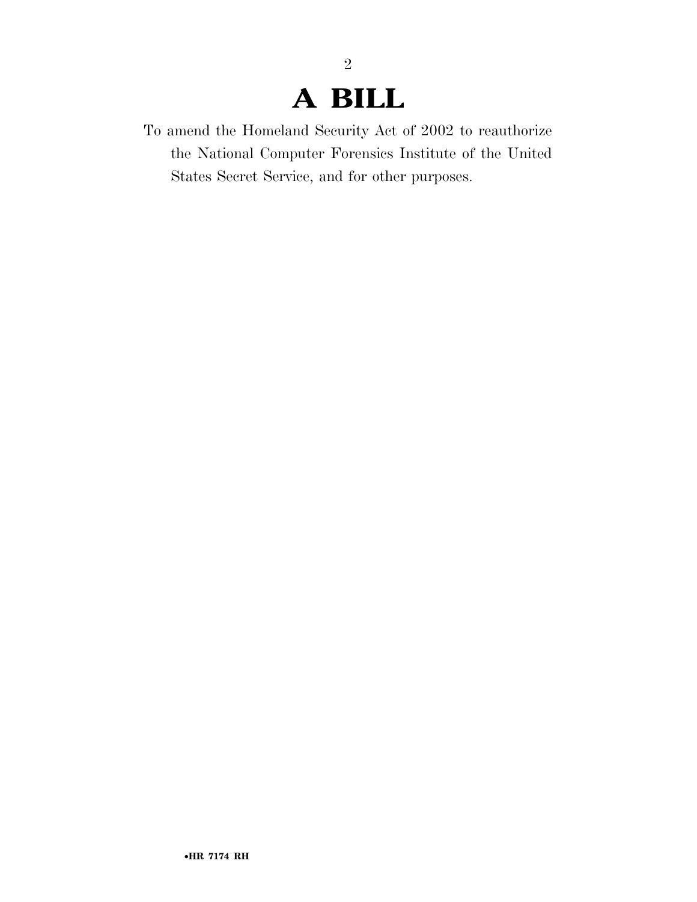### **A BILL**

2

To amend the Homeland Security Act of 2002 to reauthorize the National Computer Forensics Institute of the United States Secret Service, and for other purposes.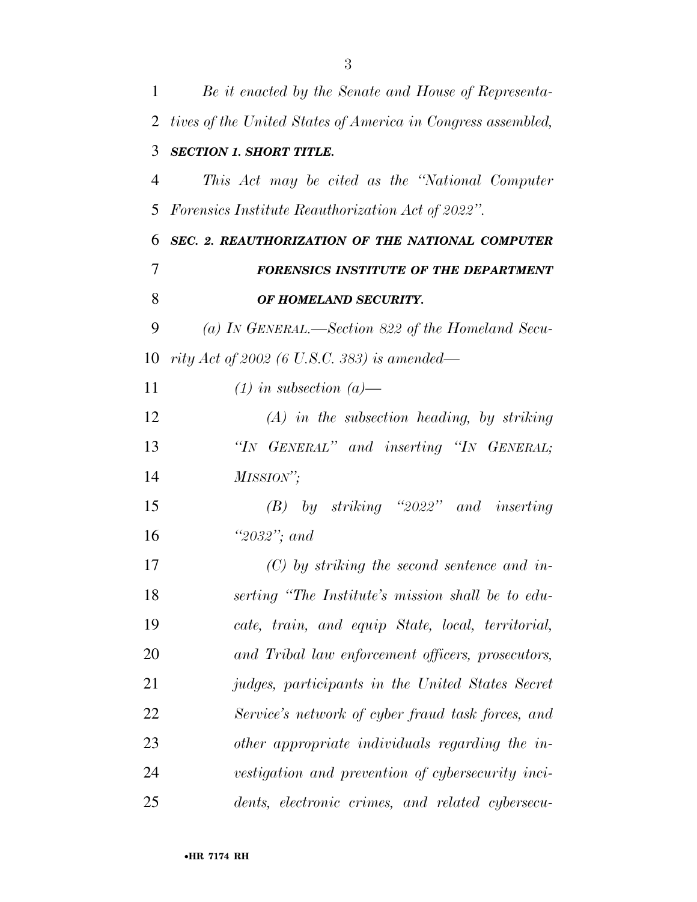| 1              | Be it enacted by the Senate and House of Representa-         |
|----------------|--------------------------------------------------------------|
| 2              | tives of the United States of America in Congress assembled, |
| 3              | <b>SECTION 1. SHORT TITLE.</b>                               |
| $\overline{4}$ | This Act may be cited as the "National Computer"             |
| 5              | <i>Forensics Institute Reauthorization Act of 2022".</i>     |
| 6              | SEC. 2. REAUTHORIZATION OF THE NATIONAL COMPUTER             |
| 7              | FORENSICS INSTITUTE OF THE DEPARTMENT                        |
| 8              | OF HOMELAND SECURITY.                                        |
| 9              | (a) IN GENERAL.—Section 822 of the Homeland Secu-            |
| 10             | rity Act of 2002 (6 U.S.C. 383) is amended—                  |
| 11             | $(1)$ in subsection $(a)$ —                                  |
| 12             | $(A)$ in the subsection heading, by striking                 |
| 13             | "IN GENERAL" and inserting "IN GENERAL;                      |
| 14             | MISSION";                                                    |
| 15             | $(B)$ by striking "2022" and inserting                       |
| 16             | "2032"; and                                                  |
| 17             | $(C)$ by striking the second sentence and in-                |
| 18             | serting "The Institute's mission shall be to edu-            |
| 19             | cate, train, and equip State, local, territorial,            |
| 20             | and Tribal law enforcement officers, prosecutors,            |
| 21             | judges, participants in the United States Secret             |
| 22             | Service's network of cyber fraud task forces, and            |
| 23             | other appropriate individuals regarding the in-              |
| 24             | vestigation and prevention of cybersecurity inci-            |
| 25             | dents, electronic crimes, and related cybersecu-             |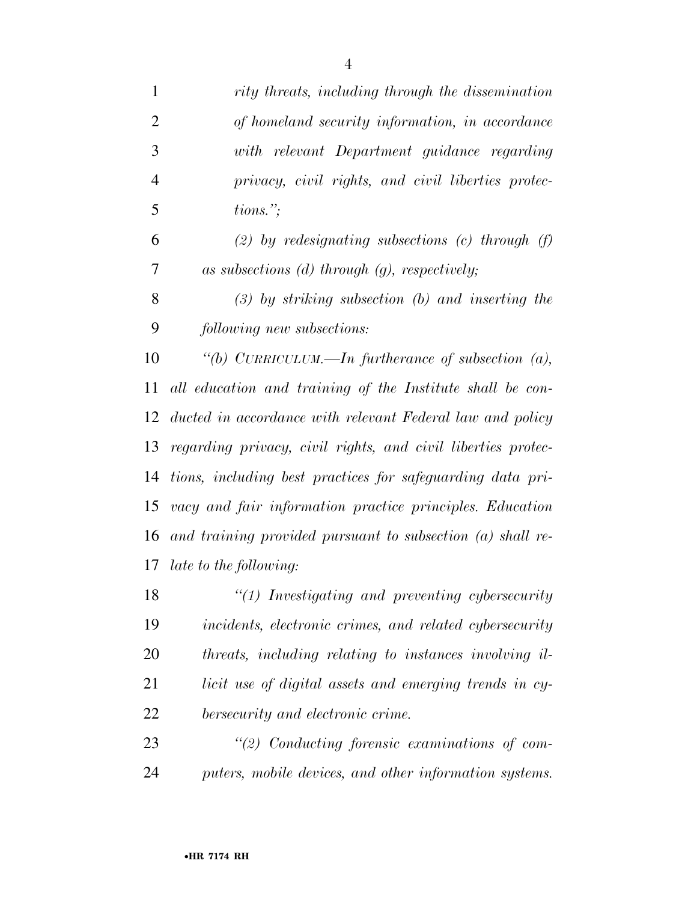| $\mathbf{1}$   | rity threats, including through the dissemination            |
|----------------|--------------------------------------------------------------|
| $\overline{2}$ | of homeland security information, in accordance              |
| 3              | with relevant Department guidance regarding                  |
| $\overline{4}$ | privacy, civil rights, and civil liberties protec-           |
| 5              | $tions.$ ";                                                  |
| 6              | (2) by redesignating subsections (c) through $(f)$           |
| 7              | as subsections $(d)$ through $(g)$ , respectively;           |
| 8              | $(3)$ by striking subsection $(b)$ and inserting the         |
| 9              | following new subsections:                                   |
| 10             | "(b) CURRICULUM.—In furtherance of subsection $(a)$ ,        |
| 11             | all education and training of the Institute shall be con-    |
| 12             | ducted in accordance with relevant Federal law and policy    |
| 13             | regarding privacy, civil rights, and civil liberties protec- |
| 14             | tions, including best practices for safeguarding data pri-   |
| 15             | vacy and fair information practice principles. Education     |
| 16             | and training provided pursuant to subsection $(a)$ shall re- |
| 17             | <i>late to the following:</i>                                |
| 18             | $\lq(1)$ Investigating and preventing cybersecurity          |
| 19             | incidents, electronic crimes, and related cybersecurity      |
| 20             | threats, including relating to instances involving il-       |
| 21             | licit use of digital assets and emerging trends in cy-       |
| 22             | bersecurity and electronic crime.                            |
| 23             | $\lq(2)$ Conducting forensic examinations of com-            |
|                |                                                              |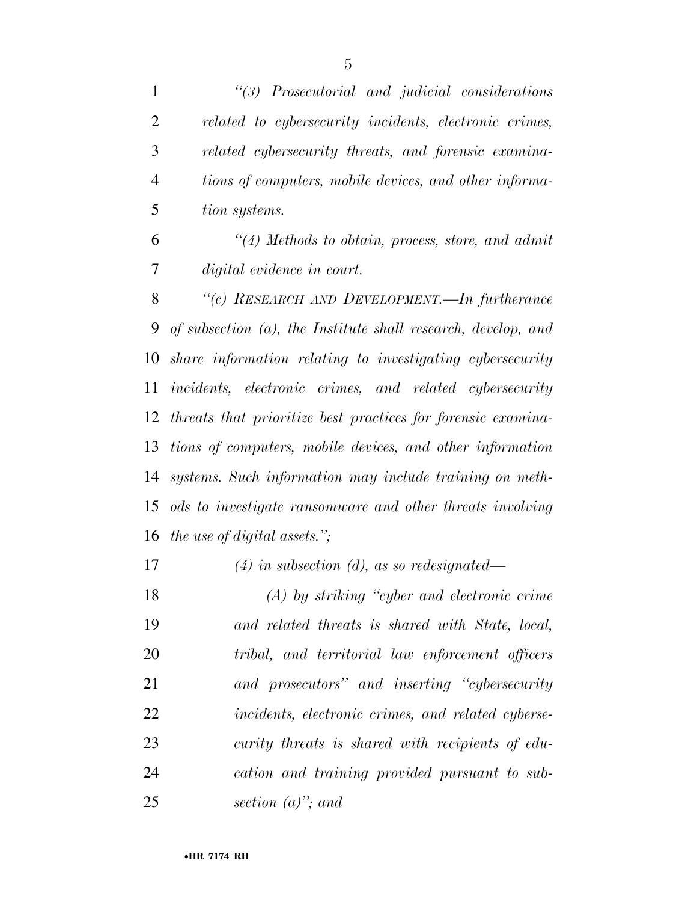*''(3) Prosecutorial and judicial considerations related to cybersecurity incidents, electronic crimes, related cybersecurity threats, and forensic examina- tions of computers, mobile devices, and other informa- tion systems. ''(4) Methods to obtain, process, store, and admit digital evidence in court. ''(c) RESEARCH AND DEVELOPMENT.—In furtherance* 

 *of subsection (a), the Institute shall research, develop, and share information relating to investigating cybersecurity incidents, electronic crimes, and related cybersecurity threats that prioritize best practices for forensic examina- tions of computers, mobile devices, and other information systems. Such information may include training on meth- ods to investigate ransomware and other threats involving the use of digital assets.'';* 

*(4) in subsection (d), as so redesignated—* 

 *(A) by striking ''cyber and electronic crime and related threats is shared with State, local, tribal, and territorial law enforcement officers and prosecutors'' and inserting ''cybersecurity incidents, electronic crimes, and related cyberse- curity threats is shared with recipients of edu- cation and training provided pursuant to sub-section (a)''; and*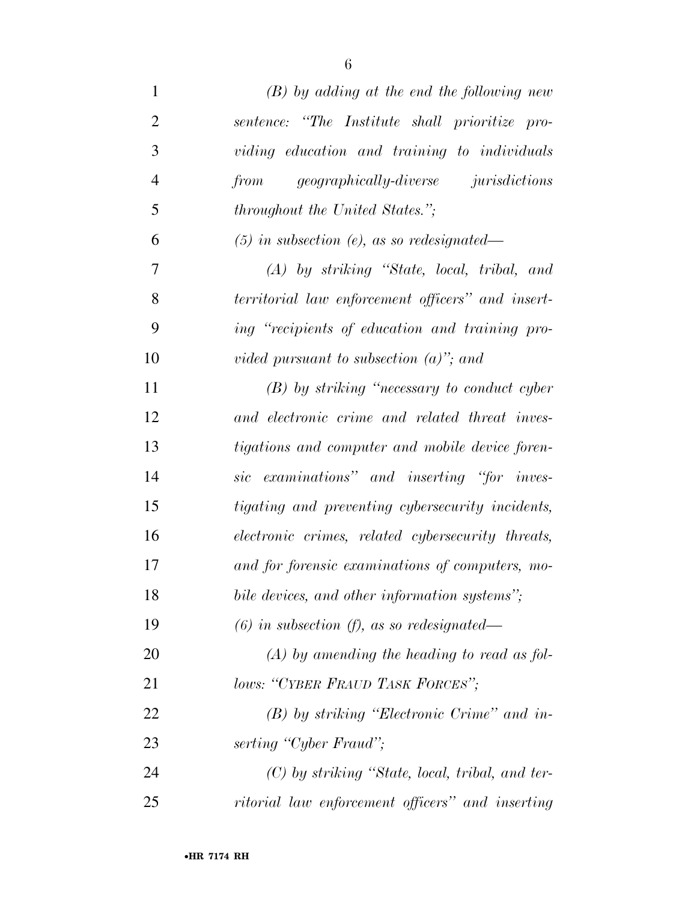| $\mathbf{1}$   | $(B)$ by adding at the end the following new      |
|----------------|---------------------------------------------------|
| $\overline{2}$ | sentence: "The Institute shall prioritize pro-    |
| 3              | viding education and training to individuals      |
| $\overline{4}$ | from geographically-diverse jurisdictions         |
| 5              | <i>throughout the United States.</i> ";           |
| 6              | $(5)$ in subsection (e), as so redesignated—      |
| 7              | $(A)$ by striking "State, local, tribal, and      |
| 8              | territorial law enforcement officers" and insert- |
| 9              | ing "recipients of education and training pro-    |
| 10             | vided pursuant to subsection $(a)$ "; and         |
| 11             | $(B)$ by striking "necessary to conduct cyber"    |
| 12             | and electronic crime and related threat inves-    |
| 13             | tigations and computer and mobile device foren-   |
| 14             | sic examinations" and inserting "for inves-       |
| 15             | tigating and preventing cybersecurity incidents,  |
| 16             | electronic crimes, related cybersecurity threats, |
| 17             | and for forensic examinations of computers, mo-   |
| 18             | bile devices, and other information systems";     |
| 19             | $(6)$ in subsection $(f)$ , as so redesignated—   |
| 20             | $(A)$ by amending the heading to read as fol-     |
| 21             | lows: "CYBER FRAUD TASK FORCES";                  |
| 22             | $(B)$ by striking "Electronic Crime" and in-      |
| 23             | serting "Cyber Fraud";                            |
| 24             | $(C)$ by striking "State, local, tribal, and ter- |
| 25             | ritorial law enforcement officers" and inserting  |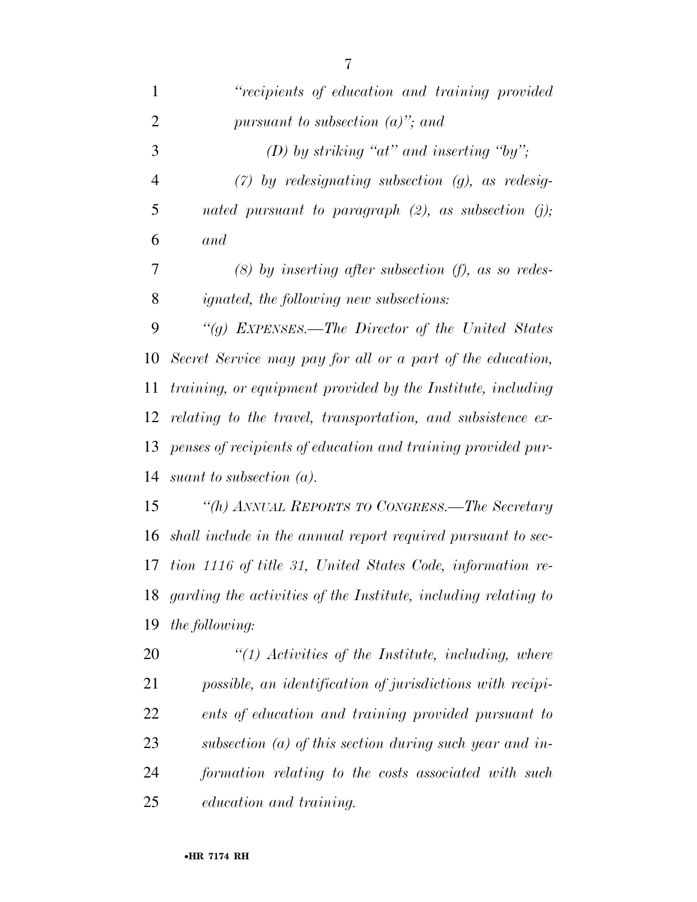| 1              | "recipients of education and training provided                    |
|----------------|-------------------------------------------------------------------|
| $\overline{2}$ | pursuant to subsection $(a)$ "; and                               |
| 3              | (D) by striking " $at$ " and inserting "by";                      |
| $\overline{4}$ | $(7)$ by redesignating subsection $(g)$ , as redesig-             |
| 5              | nated pursuant to paragraph $(2)$ , as subsection $(j)$ ;         |
| 6              | and                                                               |
| 7              | $(8)$ by inserting after subsection $(f)$ , as so redes-          |
| 8              | ignated, the following new subsections:                           |
| 9              | "(g) EXPENSES.—The Director of the United States                  |
| 10             | Secret Service may pay for all or a part of the education,        |
| 11             | training, or equipment provided by the Institute, including       |
| 12             | relating to the travel, transportation, and subsistence ex-       |
| 13             | penses of recipients of education and training provided pur-      |
|                | 14 suant to subsection $(a)$ .                                    |
| 15             | "(h) ANNUAL REPORTS TO CONGRESS.—The Secretary                    |
| 16             | shall include in the annual report required pursuant to sec-      |
|                | 17 tion 1116 of title 31, United States Code, information re-     |
|                | 18 garding the activities of the Institute, including relating to |
| 19             | the following:                                                    |
| 20             | $\lq(1)$ Activities of the Institute, including, where            |
| 21             | possible, an identification of jurisdictions with recipi-         |
| 22             | ents of education and training provided pursuant to               |
| 23             | subsection (a) of this section during such year and in-           |
| 24             | formation relating to the costs associated with such              |
| 25             | education and training.                                           |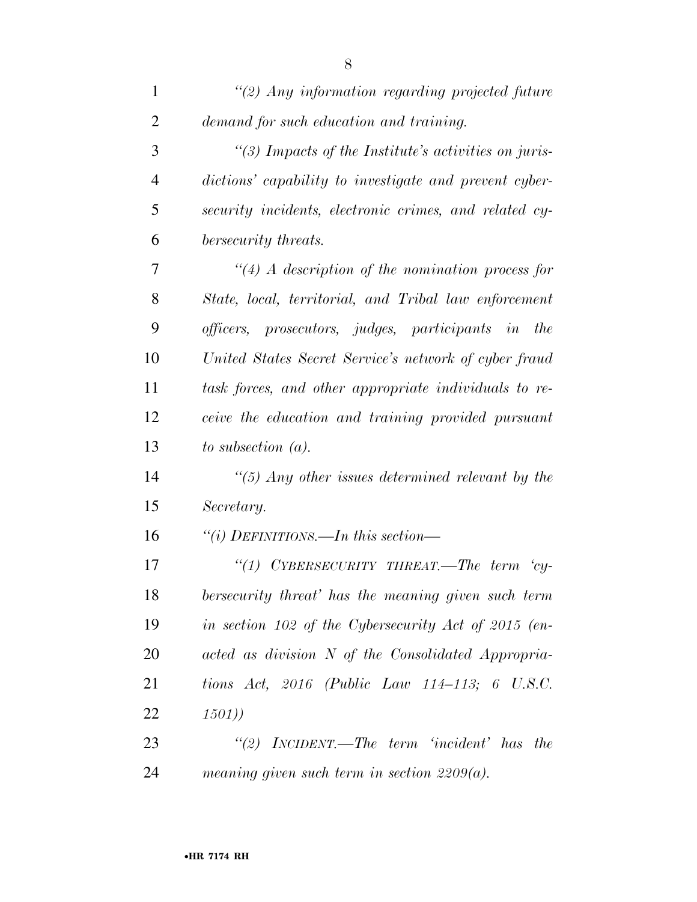| 1              | $\lq(2)$ Any information regarding projected future    |
|----------------|--------------------------------------------------------|
| $\overline{2}$ | demand for such education and training.                |
| 3              | "(3) Impacts of the Institute's activities on juris-   |
| $\overline{4}$ | dictions' capability to investigate and prevent cyber- |
| 5              | security incidents, electronic crimes, and related cy- |
| 6              | bersecurity threats.                                   |
| 7              | $\lq(4)$ A description of the nomination process for   |
| 8              | State, local, territorial, and Tribal law enforcement  |
| 9              | officers, prosecutors, judges, participants in the     |
| 10             | United States Secret Service's network of cyber fraud  |
| 11             | task forces, and other appropriate individuals to re-  |
| 12             | ceive the education and training provided pursuant     |
| 13             | to subsection $(a)$ .                                  |
| 14             | $\lq(5)$ Any other issues determined relevant by the   |
| 15             | Secretary.                                             |
| 16             | "(i) DEFINITIONS.—In this section—                     |
| 17             | "(1) CYBERSECURITY THREAT.—The term<br>$'cy-$          |
| 18             | bersecurity threat' has the meaning given such term    |
| 19             | in section 102 of the Cybersecurity Act of 2015 (en-   |
| 20             | acted as division N of the Consolidated Appropria-     |
| 21             | tions Act, 2016 (Public Law 114-113; 6 U.S.C.          |
| 22             | (1501)                                                 |
| 23             | "(2) INCIDENT.—The term 'incident' has the             |
| 24             | meaning given such term in section $2209(a)$ .         |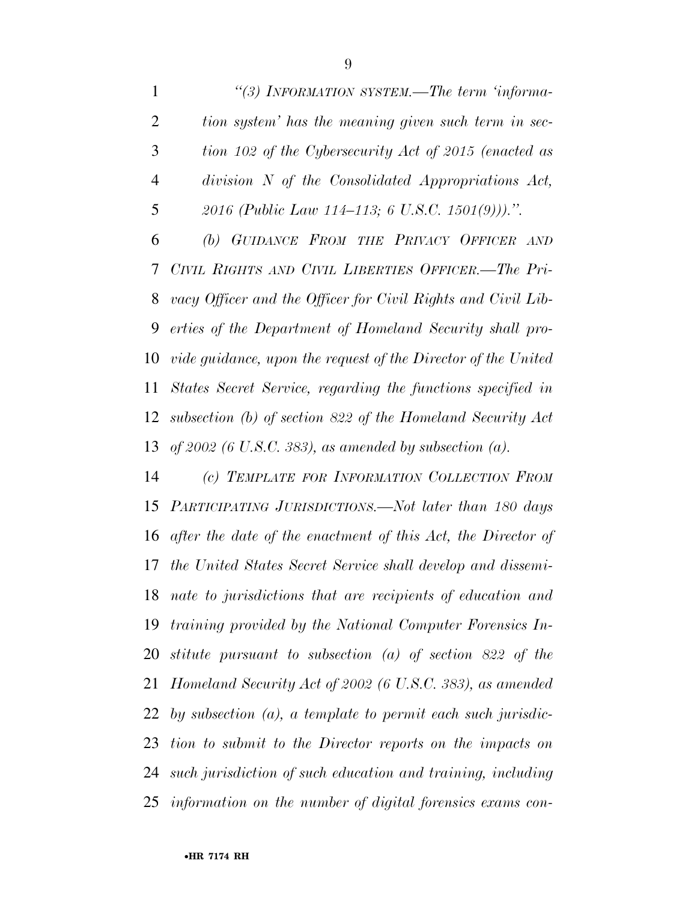*''(3) INFORMATION SYSTEM.—The term 'informa- tion system' has the meaning given such term in sec- tion 102 of the Cybersecurity Act of 2015 (enacted as division N of the Consolidated Appropriations Act, 2016 (Public Law 114–113; 6 U.S.C. 1501(9))).''. (b) GUIDANCE FROM THE PRIVACY OFFICER AND CIVIL RIGHTS AND CIVIL LIBERTIES OFFICER.—The Pri- vacy Officer and the Officer for Civil Rights and Civil Lib- erties of the Department of Homeland Security shall pro- vide guidance, upon the request of the Director of the United States Secret Service, regarding the functions specified in subsection (b) of section 822 of the Homeland Security Act of 2002 (6 U.S.C. 383), as amended by subsection (a).* 

 *(c) TEMPLATE FOR INFORMATION COLLECTION FROM PARTICIPATING JURISDICTIONS.—Not later than 180 days after the date of the enactment of this Act, the Director of the United States Secret Service shall develop and dissemi- nate to jurisdictions that are recipients of education and training provided by the National Computer Forensics In- stitute pursuant to subsection (a) of section 822 of the Homeland Security Act of 2002 (6 U.S.C. 383), as amended by subsection (a), a template to permit each such jurisdic- tion to submit to the Director reports on the impacts on such jurisdiction of such education and training, including information on the number of digital forensics exams con-*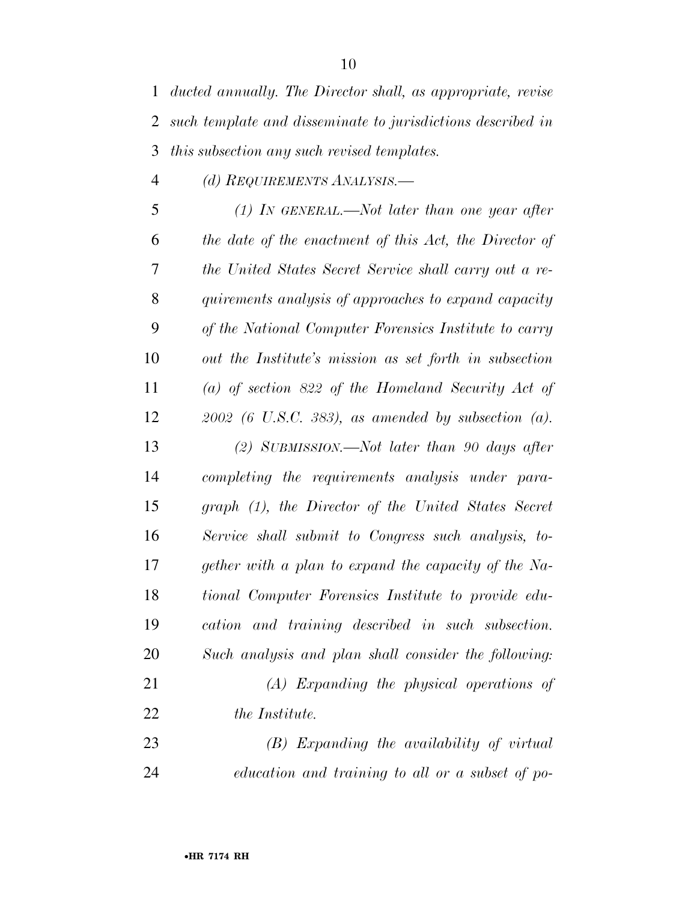*(d) REQUIREMENTS ANALYSIS.—* 

 *(1) IN GENERAL.—Not later than one year after the date of the enactment of this Act, the Director of the United States Secret Service shall carry out a re- quirements analysis of approaches to expand capacity of the National Computer Forensics Institute to carry out the Institute's mission as set forth in subsection (a) of section 822 of the Homeland Security Act of 2002 (6 U.S.C. 383), as amended by subsection (a). (2) SUBMISSION.—Not later than 90 days after completing the requirements analysis under para- graph (1), the Director of the United States Secret Service shall submit to Congress such analysis, to- gether with a plan to expand the capacity of the Na- tional Computer Forensics Institute to provide edu- cation and training described in such subsection. Such analysis and plan shall consider the following: (A) Expanding the physical operations of the Institute. (B) Expanding the availability of virtual* 

*education and training to all or a subset of po-*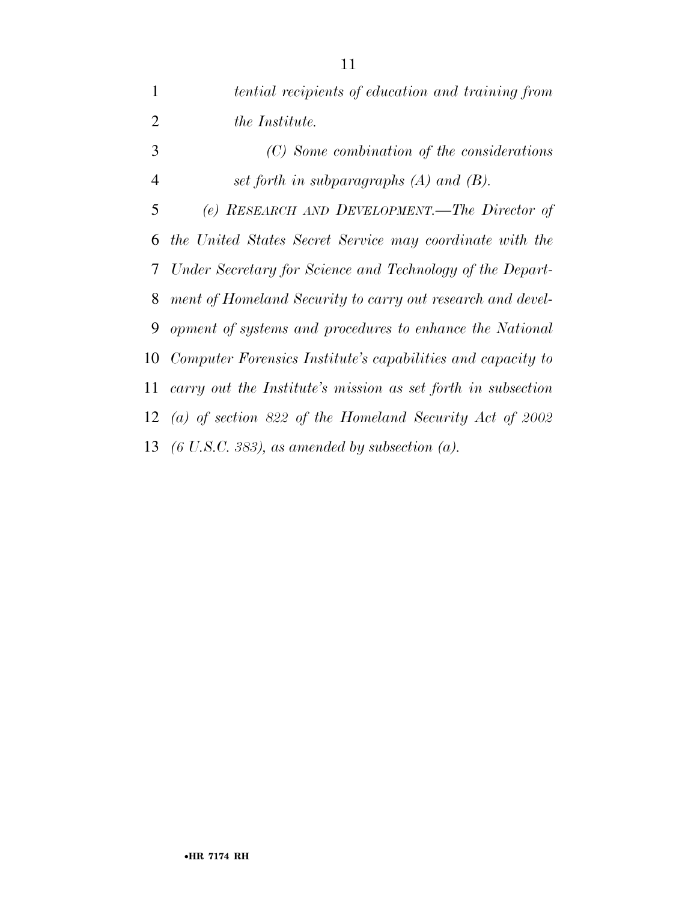*tential recipients of education and training from the Institute. (C) Some combination of the considerations set forth in subparagraphs (A) and (B). (e) RESEARCH AND DEVELOPMENT.—The Director of the United States Secret Service may coordinate with the Under Secretary for Science and Technology of the Depart- ment of Homeland Security to carry out research and devel- opment of systems and procedures to enhance the National Computer Forensics Institute's capabilities and capacity to carry out the Institute's mission as set forth in subsection (a) of section 822 of the Homeland Security Act of 2002 (6 U.S.C. 383), as amended by subsection (a).*